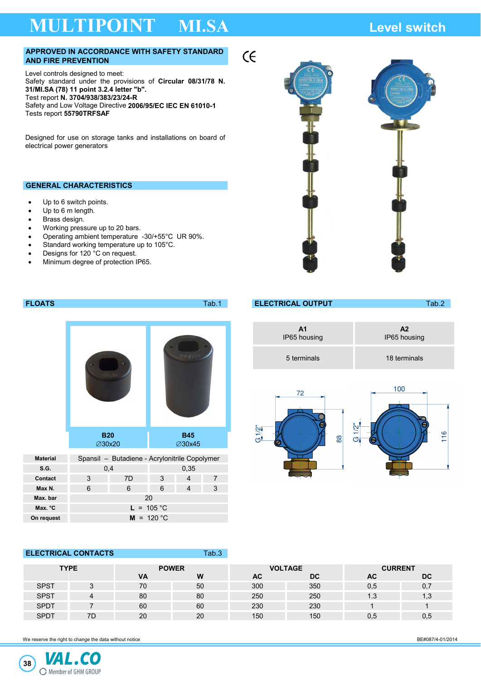# **MULTIPOINT MI.SA Level switch**

### **APPROVED IN ACCORDANCE WITH SAFETY STANDARD AND FIRE PREVENTION**

Level controls designed to meet: Safety standard under the provisions of **Circular 08/31/78 N. 31/MI.SA (78) 11 point 3.2.4 letter "b".**  Test report **N. 3704/938/383/23/24-R**  Safety and Low Voltage Directive **2006/95/EC IEC EN 61010-1**  Tests report **55790TRFSAF** 

Designed for use on storage tanks and installations on board of electrical power generators

### **GENERAL CHARACTERISTICS**

- Up to 6 switch points.
- Up to 6 m length.
- Brass design.
- Working pressure up to 20 bars.
- Operating ambient temperature -30/+55°C UR 90%.
- Standard working temperature up to 105°C.
- Designs for 120 °C on request.
- Minimum degree of protection IP65.



|                 |                                                                                     |    |                             |   | .              |                           |             |                                 | $\cdots$     |
|-----------------|-------------------------------------------------------------------------------------|----|-----------------------------|---|----------------|---------------------------|-------------|---------------------------------|--------------|
|                 | <b>B20</b><br><b>∅30x20</b><br>Spansil - Butadiene - Acrylonitrile Copolymer<br>0,4 |    |                             |   |                | <b>A1</b><br>IP65 housing |             | A2<br>IP65 housing              |              |
|                 |                                                                                     |    |                             |   |                |                           | 5 terminals |                                 | 18 terminals |
|                 |                                                                                     |    |                             |   |                |                           | 72          |                                 | 100          |
|                 |                                                                                     |    | <b>B45</b><br><b>∅30x45</b> |   |                | G1/2                      | 88          | $1/2$ "<br>116<br>$\sigma$<br>Θ |              |
| <b>Material</b> |                                                                                     |    |                             |   |                |                           |             |                                 |              |
| <b>S.G.</b>     |                                                                                     |    | 0,35                        |   |                |                           |             |                                 |              |
| Contact         | 3                                                                                   | 7D | 3                           | 4 | $\overline{7}$ |                           |             |                                 |              |
| Max N.          | 6                                                                                   | 6  | 6                           | 4 | 3              |                           |             |                                 |              |

**FLOATS** Tab.1 **ELECTRICAL OUTPUT** Tab.2

 $\epsilon$ 

| <b>ELECTRICAL CONTACTS</b> |             |    |              | Tab.3 |           |                |                |     |  |
|----------------------------|-------------|----|--------------|-------|-----------|----------------|----------------|-----|--|
| <b>TYPE</b>                |             |    | <b>POWER</b> |       |           | <b>VOLTAGE</b> | <b>CURRENT</b> |     |  |
|                            |             |    | <b>VA</b>    | W     | <b>AC</b> | <b>DC</b>      | AC             | DC. |  |
|                            | <b>SPST</b> |    | 70           | 50    | 300       | 350            | 0,5            | 0,7 |  |
|                            | <b>SPST</b> | 4  | 80           | 80    | 250       | 250            | 1.3            | 1,3 |  |
|                            | <b>SPDT</b> |    | 60           | 60    | 230       | 230            |                |     |  |
|                            | <b>SPDT</b> | 7D | 20           | 20    | 150       | 150            | 0.5            | 0,5 |  |

We reserve the right to change the data without notice **BE#087/4-01/2014** BE#087/4-01/2014

**Max. bar** 20 **Max. °C L** = 105 °C **On request M** = 120 °C